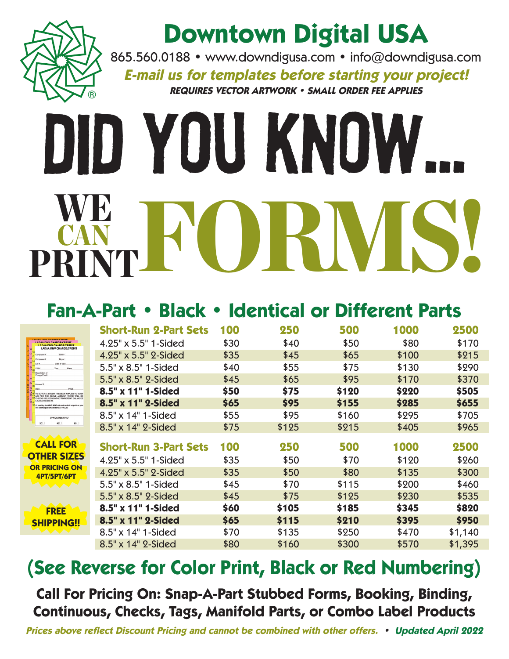

### **Downtown Digital USA**

865.560.0188 • www.downdigusa.com • info@downdigusa.com **E-mail us for templates before starting your project!**

**REQUIRES VECTOR ARTWORK • SMALL ORDER FEE APPLIES**

# Did You Know... WE FORWS! CAN PRINT

#### **Fan-A-Part • Black • Identical or Different Parts**

|                                                                                                                                                                                                                                                                                                                                                                                                                                                                                                                                                                                                                                   | <b>Short-Run 2-Part Sets</b> | 100  | 250   | 500   | 1000  | 2500    |
|-----------------------------------------------------------------------------------------------------------------------------------------------------------------------------------------------------------------------------------------------------------------------------------------------------------------------------------------------------------------------------------------------------------------------------------------------------------------------------------------------------------------------------------------------------------------------------------------------------------------------------------|------------------------------|------|-------|-------|-------|---------|
| ADAA DMV CHARGE CREDIT<br><b>I ADAA DMV CHARGE/CREDIT</b><br><b>LADAA DMV CHARGE/CREDIT</b><br><b>LADAA DMV CHARGE/CREDIT</b><br>Computer<br>Soller<br>Computer<br><b>Buyer</b><br>Date of Sale<br>Lot #<br><b>P</b> <sub>D</sub><br>VIN #<br>Make<br>Year.<br>Ch Description of<br>Charge/Credit<br>Amount \$<br>AT TO BUYER: A CREDIT HAS BEEN APPLIED TO YOUR<br>EX CF A/R FOR THE ABOVE AMOUNT. THERE WILL BE<br>EX CHECKS ISSUED MONTHLY FOR CREDIT BALANCES<br>EXCEEDING \$50.00.<br>If paid by draft DO NOT return the draft unpaid or you<br>will be charged an additional \$100,001<br>OFFICE USE ONLY<br>30<br>45<br>60 | 4.25" x 5.5" 1-Sided         | \$30 | \$40  | \$50  | \$80  | \$170   |
|                                                                                                                                                                                                                                                                                                                                                                                                                                                                                                                                                                                                                                   | 4.25" x 5.5" 2-Sided         | \$35 | \$45  | \$65  | \$100 | \$215   |
|                                                                                                                                                                                                                                                                                                                                                                                                                                                                                                                                                                                                                                   | 5.5" x 8.5" 1-Sided          | \$40 | \$55  | \$75  | \$130 | \$290   |
|                                                                                                                                                                                                                                                                                                                                                                                                                                                                                                                                                                                                                                   | 5.5" x 8.5" 2-Sided          | \$45 | \$65  | \$95  | \$170 | \$370   |
|                                                                                                                                                                                                                                                                                                                                                                                                                                                                                                                                                                                                                                   | 8.5" x 11" 1-Sided           | \$50 | \$75  | \$120 | \$220 | \$505   |
|                                                                                                                                                                                                                                                                                                                                                                                                                                                                                                                                                                                                                                   | 8.5" x 11" 2-Sided           | \$65 | \$95  | \$155 | \$285 | \$655   |
|                                                                                                                                                                                                                                                                                                                                                                                                                                                                                                                                                                                                                                   | 8.5" x 14" 1-Sided           | \$55 | \$95  | \$160 | \$295 | \$705   |
|                                                                                                                                                                                                                                                                                                                                                                                                                                                                                                                                                                                                                                   | 8.5" x 14" 2-Sided           | \$75 | \$125 | \$215 | \$405 | \$965   |
|                                                                                                                                                                                                                                                                                                                                                                                                                                                                                                                                                                                                                                   |                              |      |       |       |       |         |
| <b>CALL FOR</b><br><b>OTHER SIZES</b>                                                                                                                                                                                                                                                                                                                                                                                                                                                                                                                                                                                             | <b>Short-Run 3-Part Sets</b> | 100  | 250   | 500   | 1000  | 2500    |
|                                                                                                                                                                                                                                                                                                                                                                                                                                                                                                                                                                                                                                   | 4.25" x 5.5" 1-Sided         | \$35 | \$50  | \$70  | \$120 | \$260   |
| <b>PRICING ON</b><br>4PT/5PT/6PT                                                                                                                                                                                                                                                                                                                                                                                                                                                                                                                                                                                                  | 4.25" x 5.5" 2-Sided         | \$35 | \$50  | \$80  | \$135 | \$300   |
| <b>FREE</b>                                                                                                                                                                                                                                                                                                                                                                                                                                                                                                                                                                                                                       | 5.5" x 8.5" 1-Sided          | \$45 | \$70  | \$115 | \$200 | \$460   |
|                                                                                                                                                                                                                                                                                                                                                                                                                                                                                                                                                                                                                                   | 5.5" x 8.5" 2-Sided          | \$45 | \$75  | \$125 | \$230 | \$535   |
|                                                                                                                                                                                                                                                                                                                                                                                                                                                                                                                                                                                                                                   | 8.5" x 11" 1-Sided           | \$60 | \$105 | \$185 | \$345 | \$820   |
| <b>SHIPPING!!</b>                                                                                                                                                                                                                                                                                                                                                                                                                                                                                                                                                                                                                 | 8.5" x 11" 2-Sided           | \$65 | \$115 | \$210 | \$395 | \$950   |
| AAAA A                                                                                                                                                                                                                                                                                                                                                                                                                                                                                                                                                                                                                            | 8.5" x 14" 1-Sided           | \$70 | \$135 | \$250 | \$470 | \$1,140 |
|                                                                                                                                                                                                                                                                                                                                                                                                                                                                                                                                                                                                                                   | 8.5" x 14" 2-Sided           | \$80 | \$160 | \$300 | \$570 | \$1,395 |

#### **(See Reverse for Color Print, Black or Red Numbering)**

**Call For Pricing On: Snap-A-Part Stubbed Forms, Booking, Binding, Continuous, Checks, Tags, Manifold Parts, or Combo Label Products**

**Prices above reflect Discount Pricing and cannot be combined with other offers. • Updated April 2022**